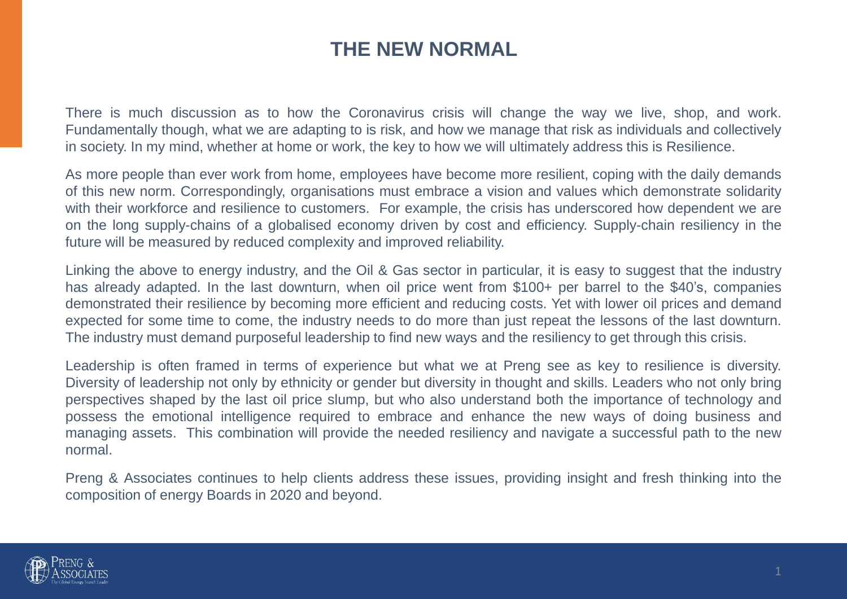## **THE NEW NORMAL**

There is much discussion as to how the Coronavirus crisis will change the way we live, shop, and work. Fundamentally though, what we are adapting to is risk, and how we manage that risk as individuals and collectively in society. In my mind, whether at home or work, the key to how we will ultimately address this is Resilience.

As more people than ever work from home, employees have become more resilient, coping with the daily demands of this new norm. Correspondingly, organisations must embrace a vision and values which demonstrate solidarity with their workforce and resilience to customers. For example, the crisis has underscored how dependent we are on the long supply-chains of a globalised economy driven by cost and efficiency. Supply-chain resiliency in the future will be measured by reduced complexity and improved reliability.

Linking the above to energy industry, and the Oil & Gas sector in particular, it is easy to suggest that the industry has already adapted. In the last downturn, when oil price went from \$100+ per barrel to the \$40's, companies demonstrated their resilience by becoming more efficient and reducing costs. Yet with lower oil prices and demand expected for some time to come, the industry needs to do more than just repeat the lessons of the last downturn. The industry must demand purposeful leadership to find new ways and the resiliency to get through this crisis.

Leadership is often framed in terms of experience but what we at Preng see as key to resilience is diversity. Diversity of leadership not only by ethnicity or gender but diversity in thought and skills. Leaders who not only bring perspectives shaped by the last oil price slump, but who also understand both the importance of technology and possess the emotional intelligence required to embrace and enhance the new ways of doing business and managing assets. This combination will provide the needed resiliency and navigate a successful path to the new normal.

Preng & Associates continues to help clients address these issues, providing insight and fresh thinking into the composition of energy Boards in 2020 and beyond.